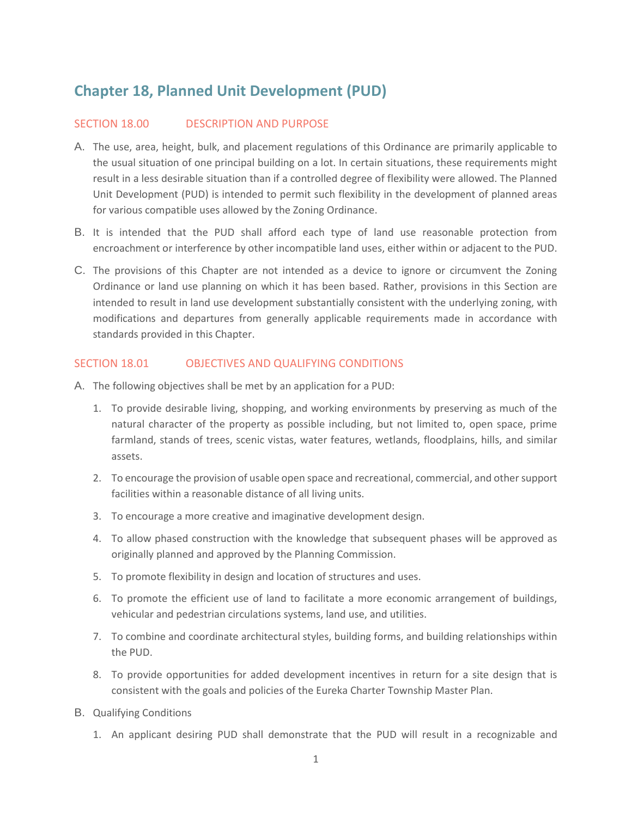# **Chapter 18, Planned Unit Development (PUD)**

#### SECTION 18.00 DESCRIPTION AND PURPOSE

- A. The use, area, height, bulk, and placement regulations of this Ordinance are primarily applicable to the usual situation of one principal building on a lot. In certain situations, these requirements might result in a less desirable situation than if a controlled degree of flexibility were allowed. The Planned Unit Development (PUD) is intended to permit such flexibility in the development of planned areas for various compatible uses allowed by the Zoning Ordinance.
- B. It is intended that the PUD shall afford each type of land use reasonable protection from encroachment or interference by other incompatible land uses, either within or adjacent to the PUD.
- C. The provisions of this Chapter are not intended as a device to ignore or circumvent the Zoning Ordinance or land use planning on which it has been based. Rather, provisions in this Section are intended to result in land use development substantially consistent with the underlying zoning, with modifications and departures from generally applicable requirements made in accordance with standards provided in this Chapter.

#### SECTION 18.01 OBJECTIVES AND QUALIFYING CONDITIONS

- A. The following objectives shall be met by an application for a PUD:
	- 1. To provide desirable living, shopping, and working environments by preserving as much of the natural character of the property as possible including, but not limited to, open space, prime farmland, stands of trees, scenic vistas, water features, wetlands, floodplains, hills, and similar assets.
	- 2. To encourage the provision of usable open space and recreational, commercial, and other support facilities within a reasonable distance of all living units.
	- 3. To encourage a more creative and imaginative development design.
	- 4. To allow phased construction with the knowledge that subsequent phases will be approved as originally planned and approved by the Planning Commission.
	- 5. To promote flexibility in design and location of structures and uses.
	- 6. To promote the efficient use of land to facilitate a more economic arrangement of buildings, vehicular and pedestrian circulations systems, land use, and utilities.
	- 7. To combine and coordinate architectural styles, building forms, and building relationships within the PUD.
	- 8. To provide opportunities for added development incentives in return for a site design that is consistent with the goals and policies of the Eureka Charter Township Master Plan.
- B. Qualifying Conditions
	- 1. An applicant desiring PUD shall demonstrate that the PUD will result in a recognizable and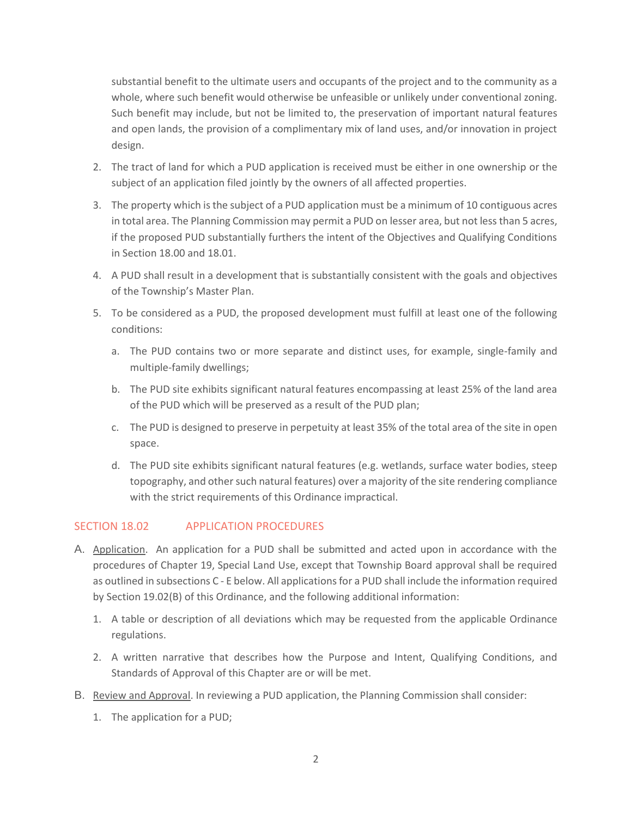substantial benefit to the ultimate users and occupants of the project and to the community as a whole, where such benefit would otherwise be unfeasible or unlikely under conventional zoning. Such benefit may include, but not be limited to, the preservation of important natural features and open lands, the provision of a complimentary mix of land uses, and/or innovation in project design.

- 2. The tract of land for which a PUD application is received must be either in one ownership or the subject of an application filed jointly by the owners of all affected properties.
- 3. The property which is the subject of a PUD application must be a minimum of 10 contiguous acres in total area. The Planning Commission may permit a PUD on lesser area, but not less than 5 acres, if the proposed PUD substantially furthers the intent of the Objectives and Qualifying Conditions in Section 18.00 and 18.01.
- 4. A PUD shall result in a development that is substantially consistent with the goals and objectives of the Township's Master Plan.
- 5. To be considered as a PUD, the proposed development must fulfill at least one of the following conditions:
	- a. The PUD contains two or more separate and distinct uses, for example, single-family and multiple-family dwellings;
	- b. The PUD site exhibits significant natural features encompassing at least 25% of the land area of the PUD which will be preserved as a result of the PUD plan;
	- c. The PUD is designed to preserve in perpetuity at least 35% of the total area of the site in open space.
	- d. The PUD site exhibits significant natural features (e.g. wetlands, surface water bodies, steep topography, and other such natural features) over a majority of the site rendering compliance with the strict requirements of this Ordinance impractical.

## SECTION 18.02 APPLICATION PROCEDURES

- A. Application. An application for a PUD shall be submitted and acted upon in accordance with the procedures of Chapter 19, Special Land Use, except that Township Board approval shall be required as outlined in subsections C - E below. All applications for a PUD shall include the information required by Section 19.02(B) of this Ordinance, and the following additional information:
	- 1. A table or description of all deviations which may be requested from the applicable Ordinance regulations.
	- 2. A written narrative that describes how the Purpose and Intent, Qualifying Conditions, and Standards of Approval of this Chapter are or will be met.
- B. Review and Approval. In reviewing a PUD application, the Planning Commission shall consider:
	- 1. The application for a PUD;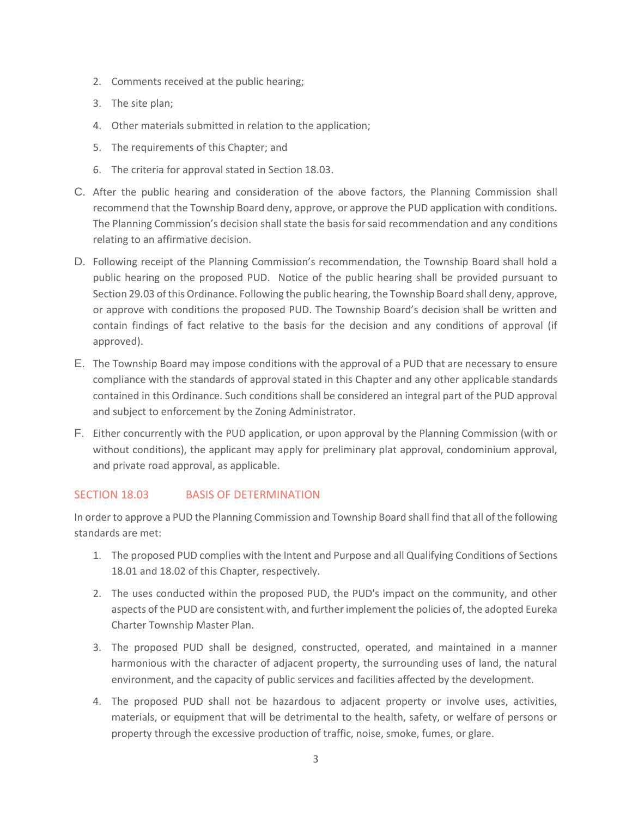- 2. Comments received at the public hearing;
- 3. The site plan;
- 4. Other materials submitted in relation to the application;
- 5. The requirements of this Chapter; and
- 6. The criteria for approval stated in Section 18.03.
- C. After the public hearing and consideration of the above factors, the Planning Commission shall recommend that the Township Board deny, approve, or approve the PUD application with conditions. The Planning Commission's decision shall state the basis for said recommendation and any conditions relating to an affirmative decision.
- D. Following receipt of the Planning Commission's recommendation, the Township Board shall hold a public hearing on the proposed PUD. Notice of the public hearing shall be provided pursuant to Section 29.03 of this Ordinance. Following the public hearing, the Township Board shall deny, approve, or approve with conditions the proposed PUD. The Township Board's decision shall be written and contain findings of fact relative to the basis for the decision and any conditions of approval (if approved).
- E. The Township Board may impose conditions with the approval of a PUD that are necessary to ensure compliance with the standards of approval stated in this Chapter and any other applicable standards contained in this Ordinance. Such conditions shall be considered an integral part of the PUD approval and subject to enforcement by the Zoning Administrator.
- F. Either concurrently with the PUD application, or upon approval by the Planning Commission (with or without conditions), the applicant may apply for preliminary plat approval, condominium approval, and private road approval, as applicable.

## SECTION 18.03 BASIS OF DETERMINATION

In order to approve a PUD the Planning Commission and Township Board shall find that all of the following standards are met:

- 1. The proposed PUD complies with the Intent and Purpose and all Qualifying Conditions of Sections 18.01 and 18.02 of this Chapter, respectively.
- 2. The uses conducted within the proposed PUD, the PUD's impact on the community, and other aspects of the PUD are consistent with, and further implement the policies of, the adopted Eureka Charter Township Master Plan.
- 3. The proposed PUD shall be designed, constructed, operated, and maintained in a manner harmonious with the character of adjacent property, the surrounding uses of land, the natural environment, and the capacity of public services and facilities affected by the development.
- 4. The proposed PUD shall not be hazardous to adjacent property or involve uses, activities, materials, or equipment that will be detrimental to the health, safety, or welfare of persons or property through the excessive production of traffic, noise, smoke, fumes, or glare.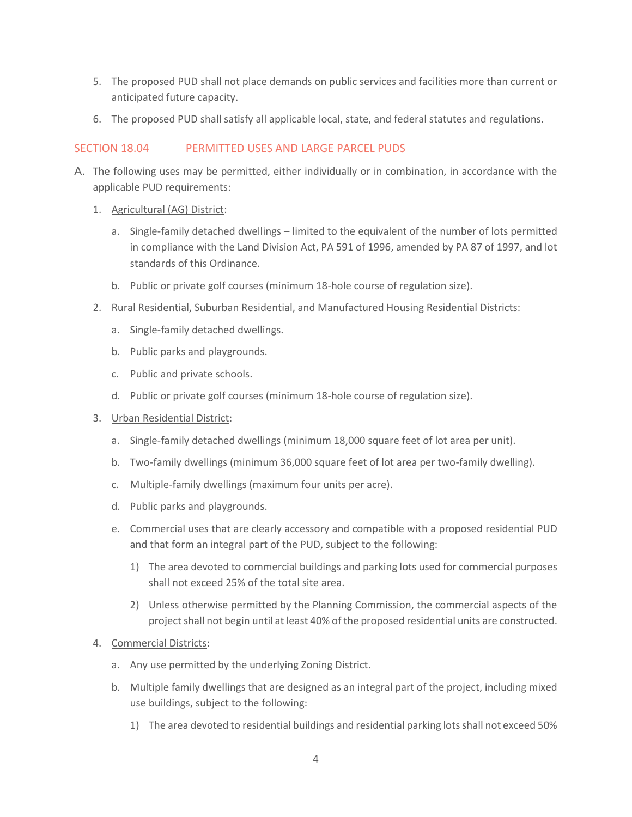- 5. The proposed PUD shall not place demands on public services and facilities more than current or anticipated future capacity.
- 6. The proposed PUD shall satisfy all applicable local, state, and federal statutes and regulations.

## SECTION 18.04 PERMITTED USES AND LARGE PARCEL PUDS

- A. The following uses may be permitted, either individually or in combination, in accordance with the applicable PUD requirements:
	- 1. Agricultural (AG) District:
		- a. Single-family detached dwellings limited to the equivalent of the number of lots permitted in compliance with the Land Division Act, PA 591 of 1996, amended by PA 87 of 1997, and lot standards of this Ordinance.
		- b. Public or private golf courses (minimum 18-hole course of regulation size).
	- 2. Rural Residential, Suburban Residential, and Manufactured Housing Residential Districts:
		- a. Single-family detached dwellings.
		- b. Public parks and playgrounds.
		- c. Public and private schools.
		- d. Public or private golf courses (minimum 18-hole course of regulation size).
	- 3. Urban Residential District:
		- a. Single-family detached dwellings (minimum 18,000 square feet of lot area per unit).
		- b. Two-family dwellings (minimum 36,000 square feet of lot area per two-family dwelling).
		- c. Multiple-family dwellings (maximum four units per acre).
		- d. Public parks and playgrounds.
		- e. Commercial uses that are clearly accessory and compatible with a proposed residential PUD and that form an integral part of the PUD, subject to the following:
			- 1) The area devoted to commercial buildings and parking lots used for commercial purposes shall not exceed 25% of the total site area.
			- 2) Unless otherwise permitted by the Planning Commission, the commercial aspects of the project shall not begin until at least 40% of the proposed residential units are constructed.
	- 4. Commercial Districts:
		- a. Any use permitted by the underlying Zoning District.
		- b. Multiple family dwellings that are designed as an integral part of the project, including mixed use buildings, subject to the following:
			- 1) The area devoted to residential buildings and residential parking lots shall not exceed 50%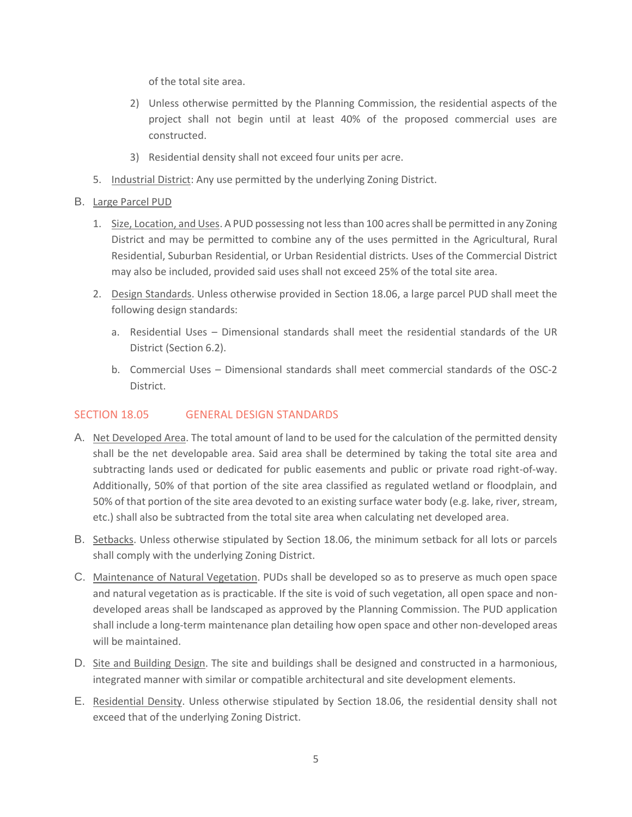of the total site area.

- 2) Unless otherwise permitted by the Planning Commission, the residential aspects of the project shall not begin until at least 40% of the proposed commercial uses are constructed.
- 3) Residential density shall not exceed four units per acre.
- 5. Industrial District: Any use permitted by the underlying Zoning District.

#### B. Large Parcel PUD

- 1. Size, Location, and Uses. A PUD possessing not less than 100 acres shall be permitted in any Zoning District and may be permitted to combine any of the uses permitted in the Agricultural, Rural Residential, Suburban Residential, or Urban Residential districts. Uses of the Commercial District may also be included, provided said uses shall not exceed 25% of the total site area.
- 2. Design Standards. Unless otherwise provided in Section 18.06, a large parcel PUD shall meet the following design standards:
	- a. Residential Uses Dimensional standards shall meet the residential standards of the UR District (Section 6.2).
	- b. Commercial Uses Dimensional standards shall meet commercial standards of the OSC-2 District.

## SECTION 18.05 GENERAL DESIGN STANDARDS

- A. Net Developed Area. The total amount of land to be used for the calculation of the permitted density shall be the net developable area. Said area shall be determined by taking the total site area and subtracting lands used or dedicated for public easements and public or private road right-of-way. Additionally, 50% of that portion of the site area classified as regulated wetland or floodplain, and 50% of that portion of the site area devoted to an existing surface water body (e.g. lake, river, stream, etc.) shall also be subtracted from the total site area when calculating net developed area.
- B. Setbacks. Unless otherwise stipulated by Section 18.06, the minimum setback for all lots or parcels shall comply with the underlying Zoning District.
- C. Maintenance of Natural Vegetation. PUDs shall be developed so as to preserve as much open space and natural vegetation as is practicable. If the site is void of such vegetation, all open space and nondeveloped areas shall be landscaped as approved by the Planning Commission. The PUD application shall include a long-term maintenance plan detailing how open space and other non-developed areas will be maintained.
- D. Site and Building Design. The site and buildings shall be designed and constructed in a harmonious, integrated manner with similar or compatible architectural and site development elements.
- E. Residential Density. Unless otherwise stipulated by Section 18.06, the residential density shall not exceed that of the underlying Zoning District.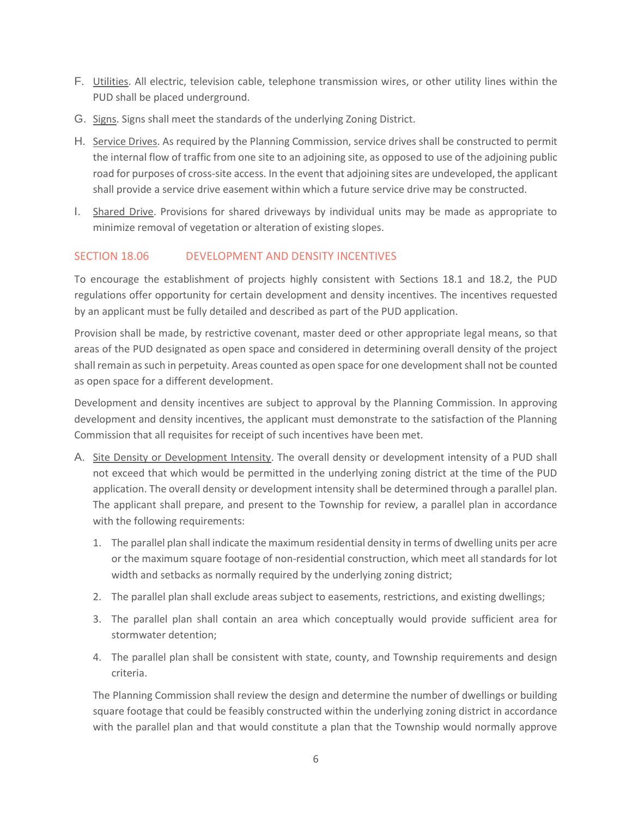- F. Utilities. All electric, television cable, telephone transmission wires, or other utility lines within the PUD shall be placed underground.
- G. Signs. Signs shall meet the standards of the underlying Zoning District.
- H. Service Drives. As required by the Planning Commission, service drives shall be constructed to permit the internal flow of traffic from one site to an adjoining site, as opposed to use of the adjoining public road for purposes of cross-site access. In the event that adjoining sites are undeveloped, the applicant shall provide a service drive easement within which a future service drive may be constructed.
- I. Shared Drive. Provisions for shared driveways by individual units may be made as appropriate to minimize removal of vegetation or alteration of existing slopes.

## SECTION 18.06 DEVELOPMENT AND DENSITY INCENTIVES

To encourage the establishment of projects highly consistent with Sections 18.1 and 18.2, the PUD regulations offer opportunity for certain development and density incentives. The incentives requested by an applicant must be fully detailed and described as part of the PUD application.

Provision shall be made, by restrictive covenant, master deed or other appropriate legal means, so that areas of the PUD designated as open space and considered in determining overall density of the project shall remain as such in perpetuity. Areas counted as open space for one development shall not be counted as open space for a different development.

Development and density incentives are subject to approval by the Planning Commission. In approving development and density incentives, the applicant must demonstrate to the satisfaction of the Planning Commission that all requisites for receipt of such incentives have been met.

- A. Site Density or Development Intensity. The overall density or development intensity of a PUD shall not exceed that which would be permitted in the underlying zoning district at the time of the PUD application. The overall density or development intensity shall be determined through a parallel plan. The applicant shall prepare, and present to the Township for review, a parallel plan in accordance with the following requirements:
	- 1. The parallel plan shall indicate the maximum residential density in terms of dwelling units per acre or the maximum square footage of non-residential construction, which meet all standards for lot width and setbacks as normally required by the underlying zoning district;
	- 2. The parallel plan shall exclude areas subject to easements, restrictions, and existing dwellings;
	- 3. The parallel plan shall contain an area which conceptually would provide sufficient area for stormwater detention;
	- 4. The parallel plan shall be consistent with state, county, and Township requirements and design criteria.

The Planning Commission shall review the design and determine the number of dwellings or building square footage that could be feasibly constructed within the underlying zoning district in accordance with the parallel plan and that would constitute a plan that the Township would normally approve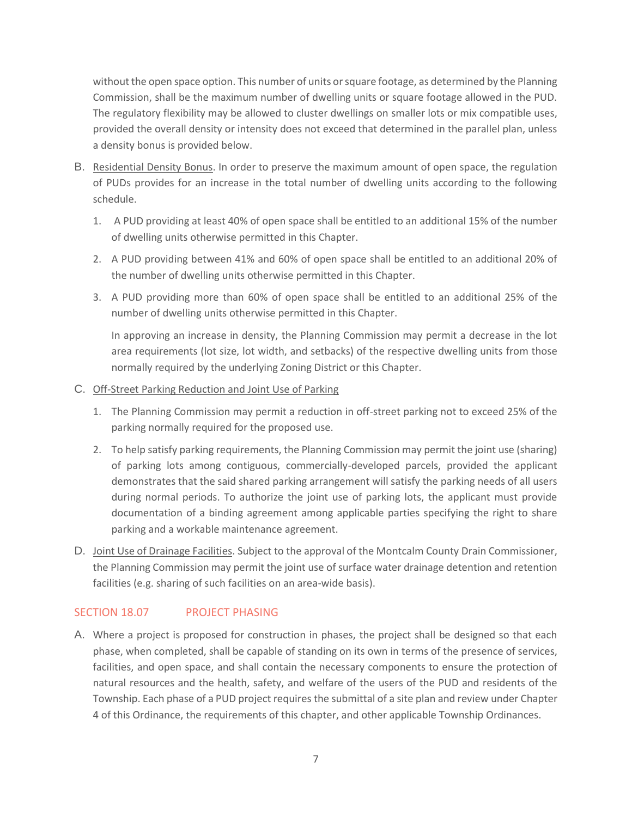without the open space option. This number of units or square footage, as determined by the Planning Commission, shall be the maximum number of dwelling units or square footage allowed in the PUD. The regulatory flexibility may be allowed to cluster dwellings on smaller lots or mix compatible uses, provided the overall density or intensity does not exceed that determined in the parallel plan, unless a density bonus is provided below.

- B. Residential Density Bonus. In order to preserve the maximum amount of open space, the regulation of PUDs provides for an increase in the total number of dwelling units according to the following schedule.
	- 1. A PUD providing at least 40% of open space shall be entitled to an additional 15% of the number of dwelling units otherwise permitted in this Chapter.
	- 2. A PUD providing between 41% and 60% of open space shall be entitled to an additional 20% of the number of dwelling units otherwise permitted in this Chapter.
	- 3. A PUD providing more than 60% of open space shall be entitled to an additional 25% of the number of dwelling units otherwise permitted in this Chapter.

In approving an increase in density, the Planning Commission may permit a decrease in the lot area requirements (lot size, lot width, and setbacks) of the respective dwelling units from those normally required by the underlying Zoning District or this Chapter.

- C. Off-Street Parking Reduction and Joint Use of Parking
	- 1. The Planning Commission may permit a reduction in off-street parking not to exceed 25% of the parking normally required for the proposed use.
	- 2. To help satisfy parking requirements, the Planning Commission may permit the joint use (sharing) of parking lots among contiguous, commercially-developed parcels, provided the applicant demonstrates that the said shared parking arrangement will satisfy the parking needs of all users during normal periods. To authorize the joint use of parking lots, the applicant must provide documentation of a binding agreement among applicable parties specifying the right to share parking and a workable maintenance agreement.
- D. Joint Use of Drainage Facilities. Subject to the approval of the Montcalm County Drain Commissioner, the Planning Commission may permit the joint use of surface water drainage detention and retention facilities (e.g. sharing of such facilities on an area-wide basis).

# SECTION 18.07 PROJECT PHASING

A. Where a project is proposed for construction in phases, the project shall be designed so that each phase, when completed, shall be capable of standing on its own in terms of the presence of services, facilities, and open space, and shall contain the necessary components to ensure the protection of natural resources and the health, safety, and welfare of the users of the PUD and residents of the Township. Each phase of a PUD project requires the submittal of a site plan and review under Chapter 4 of this Ordinance, the requirements of this chapter, and other applicable Township Ordinances.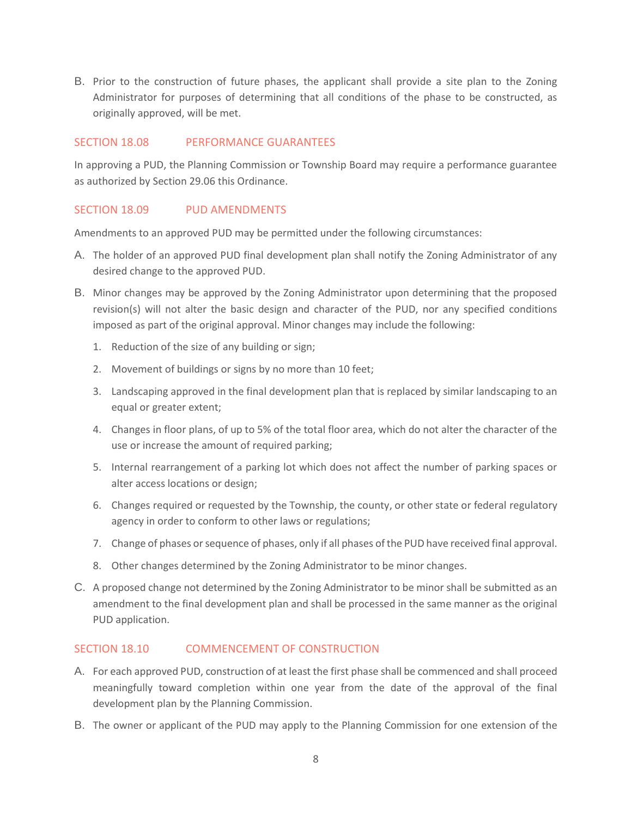B. Prior to the construction of future phases, the applicant shall provide a site plan to the Zoning Administrator for purposes of determining that all conditions of the phase to be constructed, as originally approved, will be met.

#### SECTION 18.08 PERFORMANCE GUARANTEES

In approving a PUD, the Planning Commission or Township Board may require a performance guarantee as authorized by Section 29.06 this Ordinance.

## SECTION 18.09 PUD AMENDMENTS

Amendments to an approved PUD may be permitted under the following circumstances:

- A. The holder of an approved PUD final development plan shall notify the Zoning Administrator of any desired change to the approved PUD.
- B. Minor changes may be approved by the Zoning Administrator upon determining that the proposed revision(s) will not alter the basic design and character of the PUD, nor any specified conditions imposed as part of the original approval. Minor changes may include the following:
	- 1. Reduction of the size of any building or sign;
	- 2. Movement of buildings or signs by no more than 10 feet;
	- 3. Landscaping approved in the final development plan that is replaced by similar landscaping to an equal or greater extent;
	- 4. Changes in floor plans, of up to 5% of the total floor area, which do not alter the character of the use or increase the amount of required parking;
	- 5. Internal rearrangement of a parking lot which does not affect the number of parking spaces or alter access locations or design;
	- 6. Changes required or requested by the Township, the county, or other state or federal regulatory agency in order to conform to other laws or regulations;
	- 7. Change of phases or sequence of phases, only if all phases of the PUD have received final approval.
	- 8. Other changes determined by the Zoning Administrator to be minor changes.
- C. A proposed change not determined by the Zoning Administrator to be minor shall be submitted as an amendment to the final development plan and shall be processed in the same manner as the original PUD application.

## SECTION 18.10 COMMENCEMENT OF CONSTRUCTION

- A. For each approved PUD, construction of at least the first phase shall be commenced and shall proceed meaningfully toward completion within one year from the date of the approval of the final development plan by the Planning Commission.
- B. The owner or applicant of the PUD may apply to the Planning Commission for one extension of the